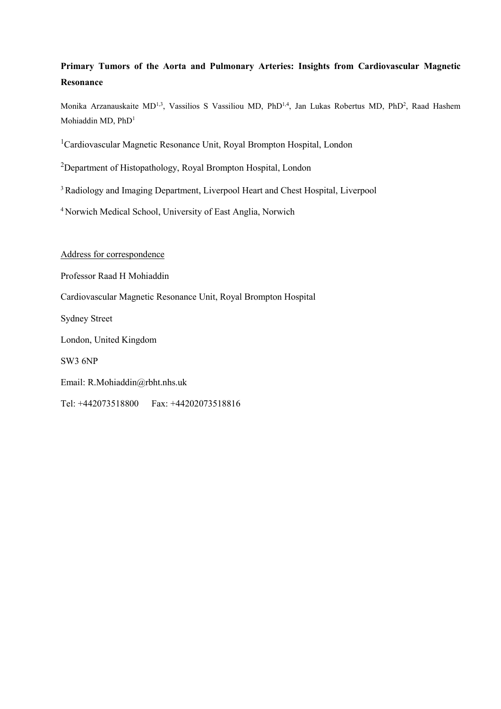## **Primary Tumors of the Aorta and Pulmonary Arteries: Insights from Cardiovascular Magnetic Resonance**

Monika Arzanauskaite MD<sup>1,3</sup>, Vassilios S Vassiliou MD, PhD<sup>1,4</sup>, Jan Lukas Robertus MD, PhD<sup>2</sup>, Raad Hashem Mohiaddin MD, PhD<sup>1</sup>

<sup>1</sup>Cardiovascular Magnetic Resonance Unit, Royal Brompton Hospital, London

<sup>2</sup>Department of Histopathology, Royal Brompton Hospital, London

<sup>3</sup> Radiology and Imaging Department, Liverpool Heart and Chest Hospital, Liverpool

<sup>4</sup> Norwich Medical School, University of East Anglia, Norwich

Address for correspondence

Professor Raad H Mohiaddin

Cardiovascular Magnetic Resonance Unit, Royal Brompton Hospital

Sydney Street

London, United Kingdom

SW3 6NP

Email: R.Mohiaddin@rbht.nhs.uk

Tel: +442073518800 Fax: +44202073518816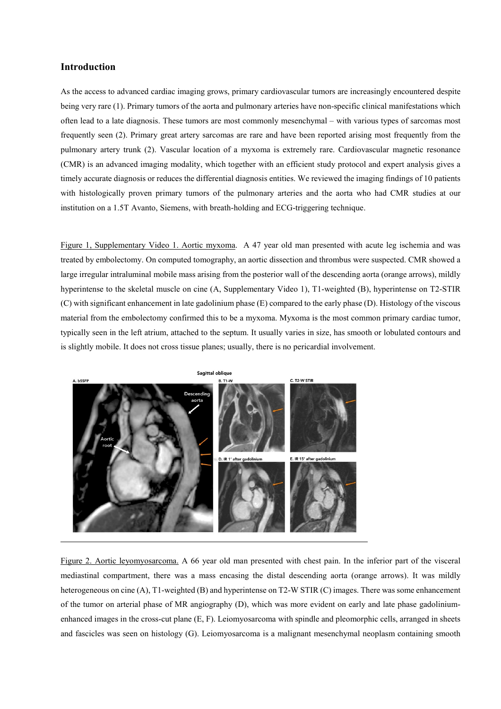## **Introduction**

As the access to advanced cardiac imaging grows, primary cardiovascular tumors are increasingly encountered despite being very rare (1). Primary tumors of the aorta and pulmonary arteries have non-specific clinical manifestations which often lead to a late diagnosis. These tumors are most commonly mesenchymal – with various types of sarcomas most frequently seen (2). Primary great artery sarcomas are rare and have been reported arising most frequently from the pulmonary artery trunk (2). Vascular location of a myxoma is extremely rare. Cardiovascular magnetic resonance (CMR) is an advanced imaging modality, which together with an efficient study protocol and expert analysis gives a timely accurate diagnosis or reduces the differential diagnosis entities. We reviewed the imaging findings of 10 patients with histologically proven primary tumors of the pulmonary arteries and the aorta who had CMR studies at our institution on a 1.5T Avanto, Siemens, with breath-holding and ECG-triggering technique.

Figure 1, Supplementary Video 1. Aortic myxoma. A 47 year old man presented with acute leg ischemia and was treated by embolectomy. On computed tomography, an aortic dissection and thrombus were suspected. CMR showed a large irregular intraluminal mobile mass arising from the posterior wall of the descending aorta (orange arrows), mildly hyperintense to the skeletal muscle on cine (A, Supplementary Video 1), T1-weighted (B), hyperintense on T2-STIR (C) with significant enhancement in late gadolinium phase (E) compared to the early phase (D). Histology of the viscous material from the embolectomy confirmed this to be a myxoma. Myxoma is the most common primary cardiac tumor, typically seen in the left atrium, attached to the septum. It usually varies in size, has smooth or lobulated contours and is slightly mobile. It does not cross tissue planes; usually, there is no pericardial involvement.



Figure 2. Aortic leyomyosarcoma. A 66 year old man presented with chest pain. In the inferior part of the visceral mediastinal compartment, there was a mass encasing the distal descending aorta (orange arrows). It was mildly heterogeneous on cine (A), T1-weighted (B) and hyperintense on T2-W STIR (C) images. There was some enhancement of the tumor on arterial phase of MR angiography (D), which was more evident on early and late phase gadoliniumenhanced images in the cross-cut plane (E, F). Leiomyosarcoma with spindle and pleomorphic cells, arranged in sheets and fascicles was seen on histology (G). Leiomyosarcoma is a malignant mesenchymal neoplasm containing smooth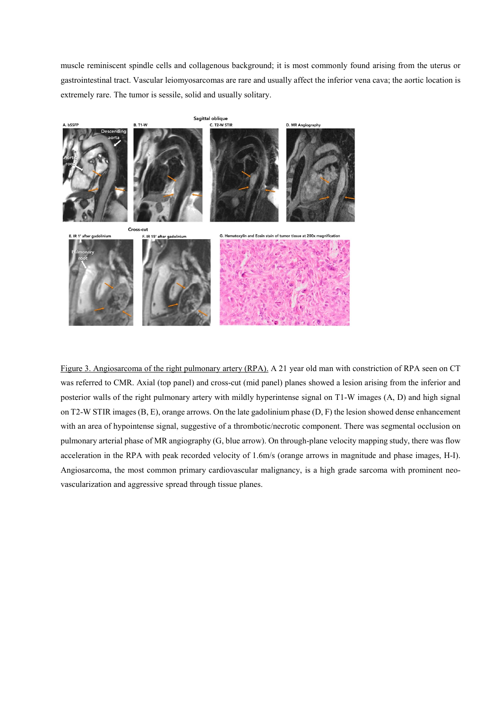muscle reminiscent spindle cells and collagenous background; it is most commonly found arising from the uterus or gastrointestinal tract. Vascular leiomyosarcomas are rare and usually affect the inferior vena cava; the aortic location is extremely rare. The tumor is sessile, solid and usually solitary.



Figure 3. Angiosarcoma of the right pulmonary artery (RPA). A 21 year old man with constriction of RPA seen on CT was referred to CMR. Axial (top panel) and cross-cut (mid panel) planes showed a lesion arising from the inferior and posterior walls of the right pulmonary artery with mildly hyperintense signal on T1-W images (A, D) and high signal on T2-W STIR images (B, E), orange arrows. On the late gadolinium phase (D, F) the lesion showed dense enhancement with an area of hypointense signal, suggestive of a thrombotic/necrotic component. There was segmental occlusion on pulmonary arterial phase of MR angiography (G, blue arrow). On through-plane velocity mapping study, there was flow acceleration in the RPA with peak recorded velocity of 1.6m/s (orange arrows in magnitude and phase images, H-I). Angiosarcoma, the most common primary cardiovascular malignancy, is a high grade sarcoma with prominent neovascularization and aggressive spread through tissue planes.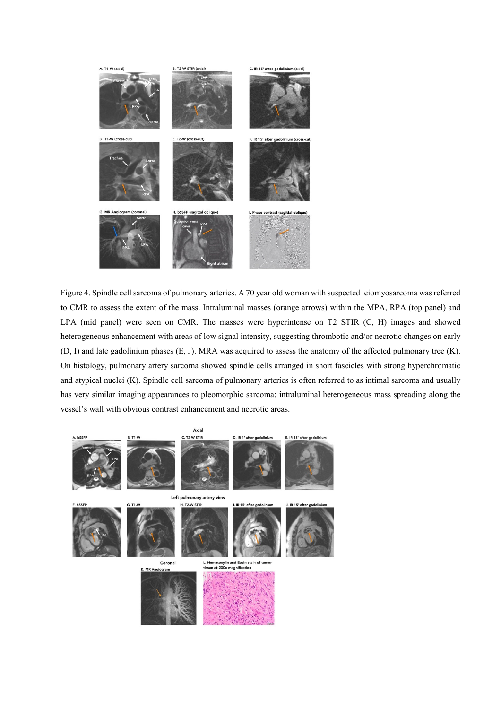

Figure 4. Spindle cell sarcoma of pulmonary arteries. A 70 year old woman with suspected leiomyosarcoma wasreferred to CMR to assess the extent of the mass. Intraluminal masses (orange arrows) within the MPA, RPA (top panel) and LPA (mid panel) were seen on CMR. The masses were hyperintense on T2 STIR (C, H) images and showed heterogeneous enhancement with areas of low signal intensity, suggesting thrombotic and/or necrotic changes on early (D, I) and late gadolinium phases (E, J). MRA was acquired to assess the anatomy of the affected pulmonary tree (K). On histology, pulmonary artery sarcoma showed spindle cells arranged in short fascicles with strong hyperchromatic and atypical nuclei (K). Spindle cell sarcoma of pulmonary arteries is often referred to as intimal sarcoma and usually has very similar imaging appearances to pleomorphic sarcoma: intraluminal heterogeneous mass spreading along the vessel's wall with obvious contrast enhancement and necrotic areas.

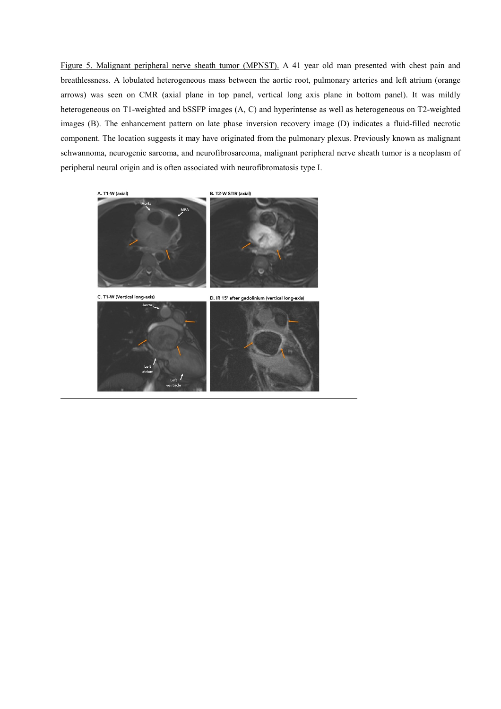Figure 5. Malignant peripheral nerve sheath tumor (MPNST). A 41 year old man presented with chest pain and breathlessness. A lobulated heterogeneous mass between the aortic root, pulmonary arteries and left atrium (orange arrows) was seen on CMR (axial plane in top panel, vertical long axis plane in bottom panel). It was mildly heterogeneous on T1-weighted and bSSFP images (A, C) and hyperintense as well as heterogeneous on T2-weighted images (B). The enhancement pattern on late phase inversion recovery image (D) indicates a fluid-filled necrotic component. The location suggests it may have originated from the pulmonary plexus. Previously known as malignant schwannoma, neurogenic sarcoma, and neurofibrosarcoma, malignant peripheral nerve sheath tumor is a neoplasm of peripheral neural origin and is often associated with neurofibromatosis type I.